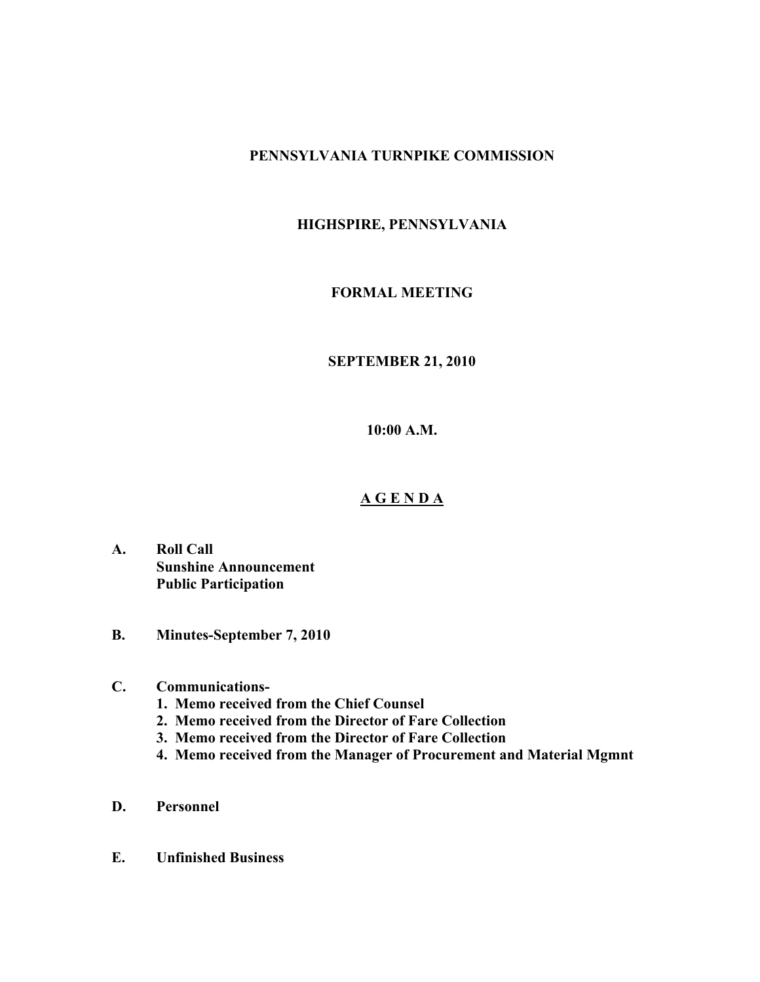# **PENNSYLVANIA TURNPIKE COMMISSION**

# **HIGHSPIRE, PENNSYLVANIA**

# **FORMAL MEETING**

### **SEPTEMBER 21, 2010**

**10:00 A.M.**

# **A G E N D A**

- **A. Roll Call Sunshine Announcement Public Participation**
- **B. Minutes-September 7, 2010**

### **C. Communications-**

- **1. Memo received from the Chief Counsel**
- **2. Memo received from the Director of Fare Collection**
- **3. Memo received from the Director of Fare Collection**
- **4. Memo received from the Manager of Procurement and Material Mgmnt**
- **D. Personnel**
- **E. Unfinished Business**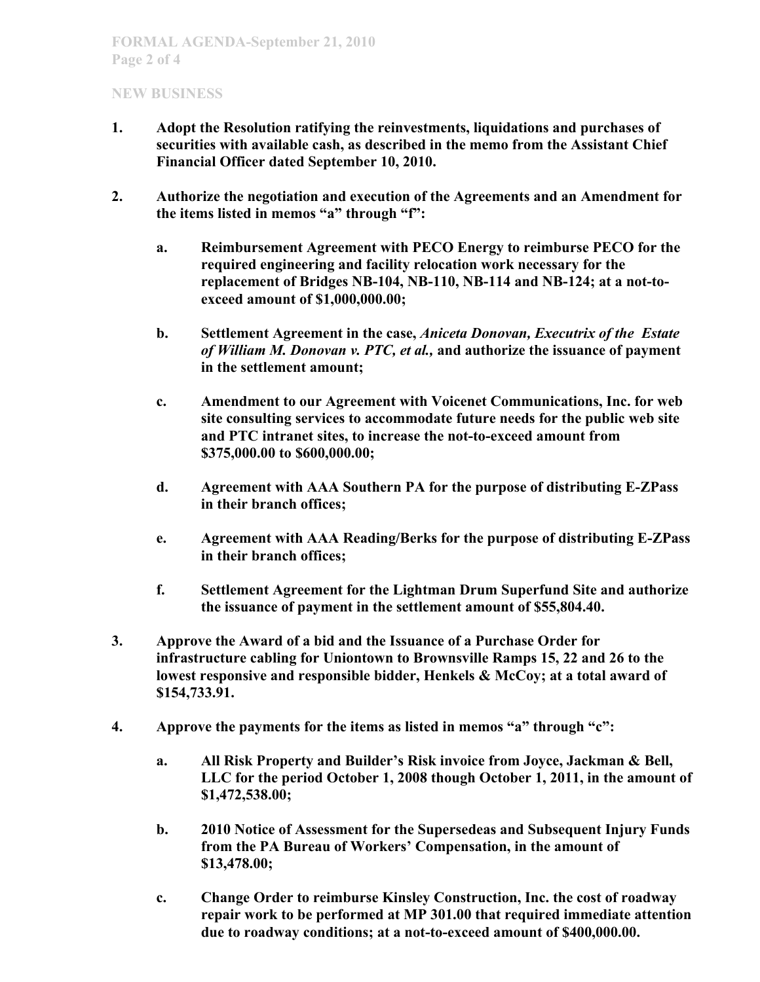# **NEW BUSINESS**

- **1. Adopt the Resolution ratifying the reinvestments, liquidations and purchases of securities with available cash, as described in the memo from the Assistant Chief Financial Officer dated September 10, 2010.**
- **2. Authorize the negotiation and execution of the Agreements and an Amendment for the items listed in memos "a" through "f":**
	- **a. Reimbursement Agreement with PECO Energy to reimburse PECO for the required engineering and facility relocation work necessary for the replacement of Bridges NB-104, NB-110, NB-114 and NB-124; at a not-toexceed amount of \$1,000,000.00;**
	- **b. Settlement Agreement in the case,** *Aniceta Donovan, Executrix of the Estate of William M. Donovan v. PTC, et al.,* **and authorize the issuance of payment in the settlement amount;**
	- **c. Amendment to our Agreement with Voicenet Communications, Inc. for web site consulting services to accommodate future needs for the public web site and PTC intranet sites, to increase the not-to-exceed amount from \$375,000.00 to \$600,000.00;**
	- **d. Agreement with AAA Southern PA for the purpose of distributing E-ZPass in their branch offices;**
	- **e. Agreement with AAA Reading/Berks for the purpose of distributing E-ZPass in their branch offices;**
	- **f. Settlement Agreement for the Lightman Drum Superfund Site and authorize the issuance of payment in the settlement amount of \$55,804.40.**
- **3. Approve the Award of a bid and the Issuance of a Purchase Order for infrastructure cabling for Uniontown to Brownsville Ramps 15, 22 and 26 to the lowest responsive and responsible bidder, Henkels & McCoy; at a total award of \$154,733.91.**
- **4. Approve the payments for the items as listed in memos "a" through "c":**
	- **a. All Risk Property and Builder's Risk invoice from Joyce, Jackman & Bell, LLC for the period October 1, 2008 though October 1, 2011, in the amount of \$1,472,538.00;**
	- **b. 2010 Notice of Assessment for the Supersedeas and Subsequent Injury Funds from the PA Bureau of Workers' Compensation, in the amount of \$13,478.00;**
	- **c. Change Order to reimburse Kinsley Construction, Inc. the cost of roadway repair work to be performed at MP 301.00 that required immediate attention due to roadway conditions; at a not-to-exceed amount of \$400,000.00.**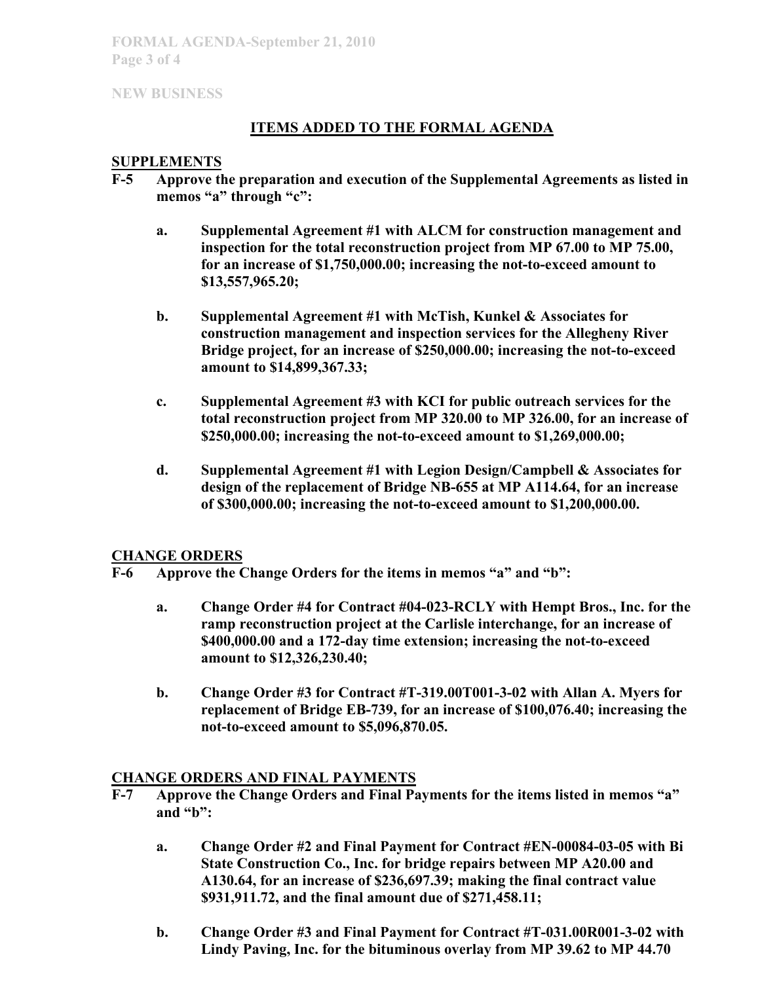**FORMAL AGENDA-September 21, 2010 Page 3 of 4**

**NEW BUSINESS**

# **ITEMS ADDED TO THE FORMAL AGENDA**

### **SUPPLEMENTS**

- **F-5 Approve the preparation and execution of the Supplemental Agreements as listed in memos "a" through "c":**
	- **a. Supplemental Agreement #1 with ALCM for construction management and inspection for the total reconstruction project from MP 67.00 to MP 75.00, for an increase of \$1,750,000.00; increasing the not-to-exceed amount to \$13,557,965.20;**
	- **b. Supplemental Agreement #1 with McTish, Kunkel & Associates for construction management and inspection services for the Allegheny River Bridge project, for an increase of \$250,000.00; increasing the not-to-exceed amount to \$14,899,367.33;**
	- **c. Supplemental Agreement #3 with KCI for public outreach services for the total reconstruction project from MP 320.00 to MP 326.00, for an increase of \$250,000.00; increasing the not-to-exceed amount to \$1,269,000.00;**
	- **d. Supplemental Agreement #1 with Legion Design/Campbell & Associates for design of the replacement of Bridge NB-655 at MP A114.64, for an increase of \$300,000.00; increasing the not-to-exceed amount to \$1,200,000.00.**

### **CHANGE ORDERS**

- **F-6 Approve the Change Orders for the items in memos "a" and "b":**
	- **a. Change Order #4 for Contract #04-023-RCLY with Hempt Bros., Inc. for the ramp reconstruction project at the Carlisle interchange, for an increase of \$400,000.00 and a 172-day time extension; increasing the not-to-exceed amount to \$12,326,230.40;**
	- **b. Change Order #3 for Contract #T-319.00T001-3-02 with Allan A. Myers for replacement of Bridge EB-739, for an increase of \$100,076.40; increasing the not-to-exceed amount to \$5,096,870.05.**

#### **CHANGE ORDERS AND FINAL PAYMENTS**

- **F-7 Approve the Change Orders and Final Payments for the items listed in memos "a" and "b":**
	- **a. Change Order #2 and Final Payment for Contract #EN-00084-03-05 with Bi State Construction Co., Inc. for bridge repairs between MP A20.00 and A130.64, for an increase of \$236,697.39; making the final contract value \$931,911.72, and the final amount due of \$271,458.11;**
	- **b. Change Order #3 and Final Payment for Contract #T-031.00R001-3-02 with Lindy Paving, Inc. for the bituminous overlay from MP 39.62 to MP 44.70**